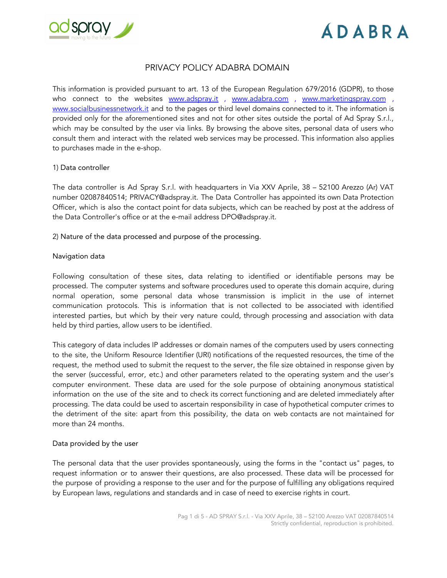

### PRIVACY POLICY ADABRA DOMAIN

This information is provided pursuant to art. 13 of the European Regulation 679/2016 (GDPR), to those who connect to the websites [www.adspray.it](http://www.adspray.it/) , [www.adabra.com](http://www.adabra.com/) [,](http://www.marketingspray.com/) [www.marketingspray.com](http://www.marketingspray.com/) , [www.socialbusinessnetwork.it](http://www.socialbusinessnetwork.it/) and to the pages or third level domains connected to it. The information is provided only for the aforementioned sites and not for other sites outside the portal of Ad Spray S.r.l., which may be consulted by the user via links. By browsing the above sites, personal data of users who consult them and interact with the related web services may be processed. This information also applies to purchases made in the e-shop.

#### 1) Data controller

The data controller is Ad Spray S.r.l. with headquarters in Via XXV Aprile, 38 – 52100 Arezzo (Ar) VAT number 02087840514; PRIVACY@adspray.it. The Data Controller has appointed its own Data Protection Officer, which is also the contact point for data subjects, which can be reached by post at the address of the Data Controller's office or at the e-mail address DPO@adspray.it.

2) Nature of the data processed and purpose of the processing.

#### Navigation data

Following consultation of these sites, data relating to identified or identifiable persons may be processed. The computer systems and software procedures used to operate this domain acquire, during normal operation, some personal data whose transmission is implicit in the use of internet communication protocols. This is information that is not collected to be associated with identified interested parties, but which by their very nature could, through processing and association with data held by third parties, allow users to be identified.

This category of data includes IP addresses or domain names of the computers used by users connecting to the site, the Uniform Resource Identifier (URI) notifications of the requested resources, the time of the request, the method used to submit the request to the server, the file size obtained in response given by the server (successful, error, etc.) and other parameters related to the operating system and the user's computer environment. These data are used for the sole purpose of obtaining anonymous statistical information on the use of the site and to check its correct functioning and are deleted immediately after processing. The data could be used to ascertain responsibility in case of hypothetical computer crimes to the detriment of the site: apart from this possibility, the data on web contacts are not maintained for more than 24 months.

#### Data provided by the user

The personal data that the user provides spontaneously, using the forms in the "contact us" pages, to request information or to answer their questions, are also processed. These data will be processed for the purpose of providing a response to the user and for the purpose of fulfilling any obligations required by European laws, regulations and standards and in case of need to exercise rights in court.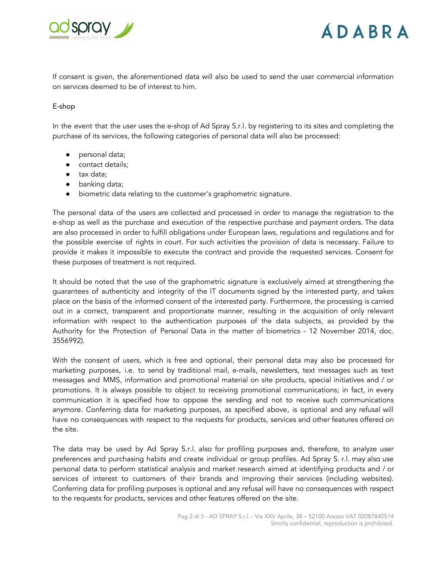



If consent is given, the aforementioned data will also be used to send the user commercial information on services deemed to be of interest to him.

#### E-shop

In the event that the user uses the e-shop of Ad Spray S.r.l. by registering to its sites and completing the purchase of its services, the following categories of personal data will also be processed:

- personal data;
- contact details;
- tax data;
- banking data;
- biometric data relating to the customer's graphometric signature.

The personal data of the users are collected and processed in order to manage the registration to the e-shop as well as the purchase and execution of the respective purchase and payment orders. The data are also processed in order to fulfill obligations under European laws, regulations and regulations and for the possible exercise of rights in court. For such activities the provision of data is necessary. Failure to provide it makes it impossible to execute the contract and provide the requested services. Consent for these purposes of treatment is not required.

It should be noted that the use of the graphometric signature is exclusively aimed at strengthening the guarantees of authenticity and integrity of the IT documents signed by the interested party, and takes place on the basis of the informed consent of the interested party. Furthermore, the processing is carried out in a correct, transparent and proportionate manner, resulting in the acquisition of only relevant information with respect to the authentication purposes of the data subjects, as provided by the Authority for the Protection of Personal Data in the matter of biometrics - 12 November 2014, doc. 3556992).

With the consent of users, which is free and optional, their personal data may also be processed for marketing purposes, i.e. to send by traditional mail, e-mails, newsletters, text messages such as text messages and MMS, information and promotional material on site products, special initiatives and / or promotions. It is always possible to object to receiving promotional communications; in fact, in every communication it is specified how to oppose the sending and not to receive such communications anymore. Conferring data for marketing purposes, as specified above, is optional and any refusal will have no consequences with respect to the requests for products, services and other features offered on the site.

The data may be used by Ad Spray S.r.l. also for profiling purposes and, therefore, to analyze user preferences and purchasing habits and create individual or group profiles. Ad Spray S. r.l. may also use personal data to perform statistical analysis and market research aimed at identifying products and / or services of interest to customers of their brands and improving their services (including websites). Conferring data for profiling purposes is optional and any refusal will have no consequences with respect to the requests for products, services and other features offered on the site.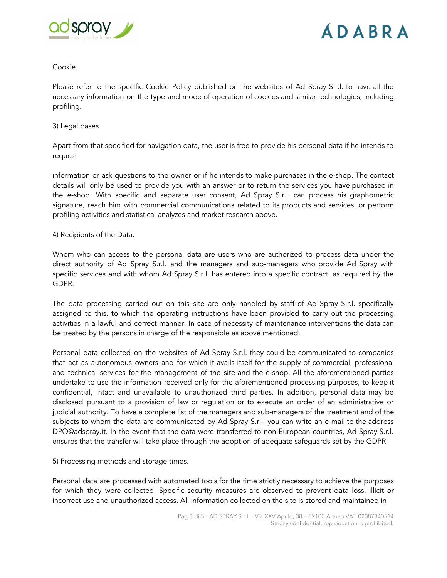

#### Cookie

Please refer to the specific Cookie Policy published on the websites of Ad Spray S.r.l. to have all the necessary information on the type and mode of operation of cookies and similar technologies, including profiling.

#### 3) Legal bases.

Apart from that specified for navigation data, the user is free to provide his personal data if he intends to request

information or ask questions to the owner or if he intends to make purchases in the e-shop. The contact details will only be used to provide you with an answer or to return the services you have purchased in the e-shop. With specific and separate user consent, Ad Spray S.r.l. can process his graphometric signature, reach him with commercial communications related to its products and services, or perform profiling activities and statistical analyzes and market research above.

#### 4) Recipients of the Data.

Whom who can access to the personal data are users who are authorized to process data under the direct authority of Ad Spray S.r.l. and the managers and sub-managers who provide Ad Spray with specific services and with whom Ad Spray S.r.l. has entered into a specific contract, as required by the GDPR.

The data processing carried out on this site are only handled by staff of Ad Spray S.r.l. specifically assigned to this, to which the operating instructions have been provided to carry out the processing activities in a lawful and correct manner. In case of necessity of maintenance interventions the data can be treated by the persons in charge of the responsible as above mentioned.

Personal data collected on the websites of Ad Spray S.r.l. they could be communicated to companies that act as autonomous owners and for which it avails itself for the supply of commercial, professional and technical services for the management of the site and the e-shop. All the aforementioned parties undertake to use the information received only for the aforementioned processing purposes, to keep it confidential, intact and unavailable to unauthorized third parties. In addition, personal data may be disclosed pursuant to a provision of law or regulation or to execute an order of an administrative or judicial authority. To have a complete list of the managers and sub-managers of the treatment and of the subjects to whom the data are communicated by Ad Spray S.r.l. you can write an e-mail to the address DPO@adspray.it. In the event that the data were transferred to non-European countries, Ad Spray S.r.l. ensures that the transfer will take place through the adoption of adequate safeguards set by the GDPR.

5) Processing methods and storage times.

Personal data are processed with automated tools for the time strictly necessary to achieve the purposes for which they were collected. Specific security measures are observed to prevent data loss, illicit or incorrect use and unauthorized access. All information collected on the site is stored and maintained in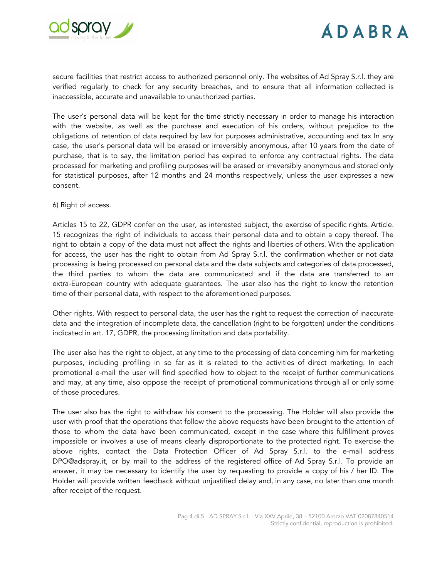

secure facilities that restrict access to authorized personnel only. The websites of Ad Spray S.r.l. they are verified regularly to check for any security breaches, and to ensure that all information collected is inaccessible, accurate and unavailable to unauthorized parties.

The user's personal data will be kept for the time strictly necessary in order to manage his interaction with the website, as well as the purchase and execution of his orders, without prejudice to the obligations of retention of data required by law for purposes administrative, accounting and tax In any case, the user's personal data will be erased or irreversibly anonymous, after 10 years from the date of purchase, that is to say, the limitation period has expired to enforce any contractual rights. The data processed for marketing and profiling purposes will be erased or irreversibly anonymous and stored only for statistical purposes, after 12 months and 24 months respectively, unless the user expresses a new consent.

6) Right of access.

Articles 15 to 22, GDPR confer on the user, as interested subject, the exercise of specific rights. Article. 15 recognizes the right of individuals to access their personal data and to obtain a copy thereof. The right to obtain a copy of the data must not affect the rights and liberties of others. With the application for access, the user has the right to obtain from Ad Spray S.r.l. the confirmation whether or not data processing is being processed on personal data and the data subjects and categories of data processed, the third parties to whom the data are communicated and if the data are transferred to an extra-European country with adequate guarantees. The user also has the right to know the retention time of their personal data, with respect to the aforementioned purposes.

Other rights. With respect to personal data, the user has the right to request the correction of inaccurate data and the integration of incomplete data, the cancellation (right to be forgotten) under the conditions indicated in art. 17, GDPR, the processing limitation and data portability.

The user also has the right to object, at any time to the processing of data concerning him for marketing purposes, including profiling in so far as it is related to the activities of direct marketing. In each promotional e-mail the user will find specified how to object to the receipt of further communications and may, at any time, also oppose the receipt of promotional communications through all or only some of those procedures.

The user also has the right to withdraw his consent to the processing. The Holder will also provide the user with proof that the operations that follow the above requests have been brought to the attention of those to whom the data have been communicated, except in the case where this fulfillment proves impossible or involves a use of means clearly disproportionate to the protected right. To exercise the above rights, contact the Data Protection Officer of Ad Spray S.r.l. to the e-mail address DPO@adspray.it, or by mail to the address of the registered office of Ad Spray S.r.l. To provide an answer, it may be necessary to identify the user by requesting to provide a copy of his / her ID. The Holder will provide written feedback without unjustified delay and, in any case, no later than one month after receipt of the request.